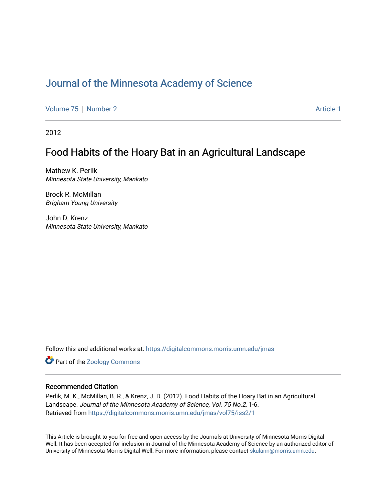# [Journal of the Minnesota Academy of Science](https://digitalcommons.morris.umn.edu/jmas)

[Volume 75](https://digitalcommons.morris.umn.edu/jmas/vol75) [Number 2](https://digitalcommons.morris.umn.edu/jmas/vol75/iss2) Article 1

2012

# Food Habits of the Hoary Bat in an Agricultural Landscape

Mathew K. Perlik Minnesota State University, Mankato

Brock R. McMillan Brigham Young University

John D. Krenz Minnesota State University, Mankato

Follow this and additional works at: [https://digitalcommons.morris.umn.edu/jmas](https://digitalcommons.morris.umn.edu/jmas?utm_source=digitalcommons.morris.umn.edu%2Fjmas%2Fvol75%2Fiss2%2F1&utm_medium=PDF&utm_campaign=PDFCoverPages) 

**Part of the Zoology Commons** 

### Recommended Citation

Perlik, M. K., McMillan, B. R., & Krenz, J. D. (2012). Food Habits of the Hoary Bat in an Agricultural Landscape. Journal of the Minnesota Academy of Science, Vol. 75 No.2, 1-6. Retrieved from [https://digitalcommons.morris.umn.edu/jmas/vol75/iss2/1](https://digitalcommons.morris.umn.edu/jmas/vol75/iss2/1?utm_source=digitalcommons.morris.umn.edu%2Fjmas%2Fvol75%2Fiss2%2F1&utm_medium=PDF&utm_campaign=PDFCoverPages)

This Article is brought to you for free and open access by the Journals at University of Minnesota Morris Digital Well. It has been accepted for inclusion in Journal of the Minnesota Academy of Science by an authorized editor of University of Minnesota Morris Digital Well. For more information, please contact [skulann@morris.umn.edu](mailto:skulann@morris.umn.edu).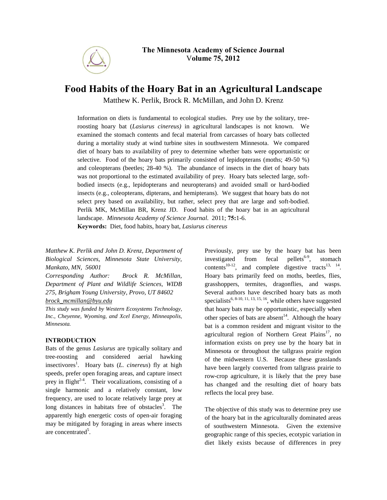

## **Food Habits of the Hoary Bat in an Agricultural Landscape**

Matthew K. Perlik, Brock R. McMillan, and John D. Krenz

Information on diets is fundamental to ecological studies. Prey use by the solitary, treeroosting hoary bat (*Lasiurus cinereus)* in agricultural landscapes is not known. We examined the stomach contents and fecal material from carcasses of hoary bats collected during a mortality study at wind turbine sites in southwestern Minnesota. We compared diet of hoary bats to availability of prey to determine whether bats were opportunistic or selective. Food of the hoary bats primarily consisted of lepidopterans (moths; 49-50 %) and coleopterans (beetles; 28-40 %). The abundance of insects in the diet of hoary bats was not proportional to the estimated availability of prey. Hoary bats selected large, softbodied insects (e.g., lepidopterans and neuropterans) and avoided small or hard-bodied insects (e.g., coleopterans, dipterans, and hemipterans). We suggest that hoary bats do not select prey based on availability, but rather, select prey that are large and soft-bodied. Perlik MK, McMillan BR, Krenz JD. Food habits of the hoary bat in an agricultural landscape. *Minnesota Academy of Science Journal*. 2011; **75:**1-6. **Keywords:** Diet, food habits, hoary bat, *Lasiurus cinereus*

*Matthew K. Perlik and John D. Krenz, Department of Biological Sciences, Minnesota State University, Mankato, MN, 56001*

*Corresponding Author: Brock R. McMillan, Department of Plant and Wildlife Sciences, WIDB 275, Brigham Young University, Provo, UT 84602 [brock\\_mcmillan@byu.edu](mailto:brock_mcmillan@byu.edu)*

*This study was funded by Western Ecosystems Technology, Inc., Cheyenne, Wyoming, and Xcel Energy, Minneapolis, Minnesota.* 

#### **INTRODUCTION**

Bats of the genus *Lasiurus* are typically solitary and tree-roosting and considered aerial hawking insectivores<sup>1</sup>. Hoary bats (*L. cinereus*) fly at high speeds, prefer open foraging areas, and capture insect prey in flight<sup>2-4</sup>. Their vocalizations, consisting of a single harmonic and a relatively constant, low frequency, are used to locate relatively large prey at long distances in habitats free of obstacles<sup>3</sup>. The apparently high energetic costs of open-air foraging may be mitigated by foraging in areas where insects are concentrated<sup>5</sup>.

Previously, prey use by the hoary bat has been investigated from fecal pellets<sup>6-9</sup>, stomach contents<sup>10-12</sup>, and complete digestive tracts<sup>13, 14</sup>. Hoary bats primarily feed on moths, beetles, flies, grasshoppers, termites, dragonflies, and wasps. Several authors have described hoary bats as moth specialists<sup>6, 8-10, 11, 13, 15, 16</sup>, while others have suggested that hoary bats may be opportunistic, especially when other species of bats are absent<sup>14</sup>. Although the hoary bat is a common resident and migrant visitor to the agricultural region of Northern Great Plains<sup>17</sup>, no information exists on prey use by the hoary bat in Minnesota or throughout the tallgrass prairie region of the midwestern U.S. Because these grasslands have been largely converted from tallgrass prairie to row-crop agriculture, it is likely that the prey base has changed and the resulting diet of hoary bats reflects the local prey base.

The objective of this study was to determine prey use of the hoary bat in the agriculturally dominated areas of southwestern Minnesota. Given the extensive geographic range of this species, ecotypic variation in diet likely exists because of differences in prey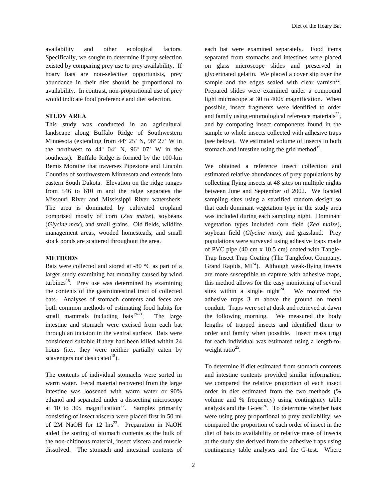availability and other ecological factors. Specifically, we sought to determine if prey selection existed by comparing prey use to prey availability. If hoary bats are non-selective opportunists, prey abundance in their diet should be proportional to availability. In contrast, non-proportional use of prey would indicate food preference and diet selection.

### **STUDY AREA**

This study was conducted in an agricultural landscape along Buffalo Ridge of Southwestern Minnesota (extending from 44º 25' N, 96º 27' W in the northwest to 44º 04' N, 96º 07' W in the southeast). Buffalo Ridge is formed by the 100-km Bemis Moraine that traverses Pipestone and Lincoln Counties of southwestern Minnesota and extends into eastern South Dakota. Elevation on the ridge ranges from 546 to 610 m and the ridge separates the Missouri River and Mississippi River watersheds. The area is dominated by cultivated cropland comprised mostly of corn (*Zea maize*), soybeans (*Glycine max*), and small grains. Old fields, wildlife management areas, wooded homesteads, and small stock ponds are scattered throughout the area.

#### **METHODS**

Bats were collected and stored at -80 °C as part of a larger study examining bat mortality caused by wind turbines<sup>18</sup>. Prey use was determined by examining the contents of the gastrointestinal tract of collected bats. Analyses of stomach contents and feces are both common methods of estimating food habits for small mammals including bats $19-21$ . The large intestine and stomach were excised from each bat through an incision in the ventral surface. Bats were considered suitable if they had been killed within 24 hours (i.e., they were neither partially eaten by scavengers nor desiccated<sup>18</sup>).

The contents of individual stomachs were sorted in warm water. Fecal material recovered from the large intestine was loosened with warm water or 90% ethanol and separated under a dissecting microscope at 10 to 30x magnification<sup>22</sup>. Samples primarily consisting of insect viscera were placed first in 50 ml of 2M NaOH for 12  $hrs^{23}$ . Preparation in NaOH aided the sorting of stomach contents as the bulk of the non-chitinous material, insect viscera and muscle dissolved. The stomach and intestinal contents of

each bat were examined separately. Food items separated from stomachs and intestines were placed on glass microscope slides and preserved in glycerinated gelatin. We placed a cover slip over the sample and the edges sealed with clear varnish $^{22}$ . Prepared slides were examined under a compound light microscope at 30 to 400x magnification. When possible, insect fragments were identified to order and family using entomological reference materials<sup>22</sup>, and by comparing insect components found in the sample to whole insects collected with adhesive traps (see below). We estimated volume of insects in both stomach and intestine using the grid method $19$ .

We obtained a reference insect collection and estimated relative abundances of prey populations by collecting flying insects at 48 sites on multiple nights between June and September of 2002. We located sampling sites using a stratified random design so that each dominant vegetation type in the study area was included during each sampling night. Dominant vegetation types included corn field (*Zea maize*), soybean field (*Glycine max*), and grassland. Prey populations were surveyed using adhesive traps made of PVC pipe (40 cm x 10.5 cm) coated with Tangle-Trap Insect Trap Coating (The Tanglefoot Company, Grand Rapids,  $MI^{24}$ ). Although weak-flying insects are more susceptible to capture with adhesive traps, this method allows for the easy monitoring of several sites within a single night<sup>24</sup>. We mounted the adhesive traps 3 m above the ground on metal conduit. Traps were set at dusk and retrieved at dawn the following morning. We measured the body lengths of trapped insects and identified them to order and family when possible. Insect mass (mg) for each individual was estimated using a length-toweight ratio<sup>25</sup>.

To determine if diet estimated from stomach contents and intestine contents provided similar information, we compared the relative proportion of each insect order in diet estimated from the two methods (% volume and % frequency) using contingency table analysis and the G-test<sup>26</sup>. To determine whether bats were using prey proportional to prey availability, we compared the proportion of each order of insect in the diet of bats to availability or relative mass of insects at the study site derived from the adhesive traps using contingency table analyses and the G-test. Where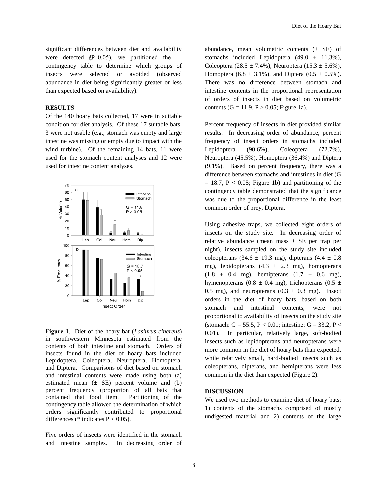significant differences between diet and availability were detected  $($  $\angle$   $\angle$  0.05), we partitioned the contingency table to determine which groups of insects were selected or avoided (observed abundance in diet being significantly greater or less than expected based on availability).

#### **RESULTS**

Of the 140 hoary bats collected, 17 were in suitable condition for diet analysis. Of these 17 suitable bats, 3 were not usable (e.g., stomach was empty and large intestine was missing or empty due to impact with the wind turbine). Of the remaining 14 bats, 11 were used for the stomach content analyses and 12 were used for intestine content analyses.



**Figure 1**. Diet of the hoary bat (*Lasiurus cinereus*) in southwestern Minnesota estimated from the contents of both intestine and stomach. Orders of insects found in the diet of hoary bats included Lepidoptera, Coleoptera, Neuroptera, Homoptera, and Diptera. Comparisons of diet based on stomach and intestinal contents were made using both (a) estimated mean  $(\pm$  SE) percent volume and (b) percent frequency (proportion of all bats that contained that food item. Partitioning of the contingency table allowed the determination of which orders significantly contributed to proportional differences (\* indicates  $P < 0.05$ ).

Five orders of insects were identified in the stomach and intestine samples. In decreasing order of abundance, mean volumetric contents  $(\pm$  SE) of stomachs included Lepidoptera  $(49.0 \pm 11.3\%)$ , Coleoptera (28.5  $\pm$  7.4%), Neuroptera (15.3  $\pm$  5.6%), Homoptera (6.8  $\pm$  3.1%), and Diptera (0.5  $\pm$  0.5%). There was no difference between stomach and intestine contents in the proportional representation of orders of insects in diet based on volumetric contents (G = 11.9, P > 0.05; Figure 1a).

Percent frequency of insects in diet provided similar results. In decreasing order of abundance, percent frequency of insect orders in stomachs included Lepidoptera (90.6%), Coleoptera (72.7%), Neuroptera (45.5%), Homoptera (36.4%) and Diptera (9.1%). Based on percent frequency, there was a difference between stomachs and intestines in diet (G  $= 18.7$ ,  $P < 0.05$ ; Figure 1b) and partitioning of the contingency table demonstrated that the significance was due to the proportional difference in the least common order of prey, Diptera.

Using adhesive traps, we collected eight orders of insects on the study site. In decreasing order of relative abundance (mean mass  $\pm$  SE per trap per night), insects sampled on the study site included coleopterans (34.6  $\pm$  19.3 mg), dipterans (4.4  $\pm$  0.8 mg), lepidopterans  $(4.3 \pm 2.3 \text{ mg})$ , homopterans  $(1.8 \pm 0.4 \text{ mg})$ , hemipterans  $(1.7 \pm 0.6 \text{ mg})$ , hymenopterans (0.8  $\pm$  0.4 mg), trichopterans (0.5  $\pm$ 0.5 mg), and neuropterans  $(0.3 \pm 0.3 \text{ mg})$ . Insect orders in the diet of hoary bats, based on both stomach and intestinal contents, were not proportional to availability of insects on the study site (stomach:  $G = 55.5$ ,  $P < 0.01$ ; intestine:  $G = 33.2$ ,  $P <$ 0.01). In particular, relatively large, soft-bodied insects such as lepidopterans and neuropterans were more common in the diet of hoary bats than expected, while relatively small, hard-bodied insects such as coleopterans, dipterans, and hemipterans were less common in the diet than expected (Figure 2).

#### **DISCUSSION**

We used two methods to examine diet of hoary bats; 1) contents of the stomachs comprised of mostly undigested material and 2) contents of the large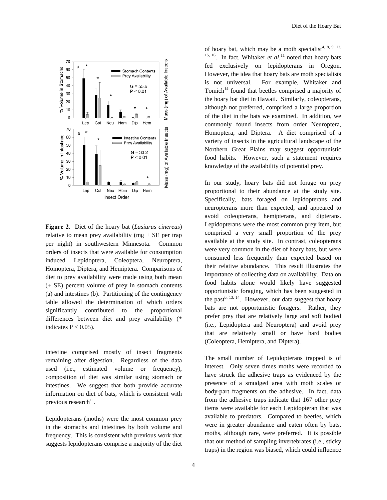

**Figure 2**. Diet of the hoary bat (*Lasiurus cinereus*) relative to mean prey availability (mg  $\pm$  SE per trap per night) in southwestern Minnesota. Common orders of insects that were available for consumption induced Lepidoptera, Coleoptera, Neuroptera, Homoptera, Diptera, and Hemiptera. Comparisons of diet to prey availability were made using both mean  $(\pm \text{ SE})$  percent volume of prey in stomach contents (a) and intestines (b). Partitioning of the contingency table allowed the determination of which orders significantly contributed to the proportional differences between diet and prey availability (\* indicates  $P < 0.05$ ).

intestine comprised mostly of insect fragments remaining after digestion. Regardless of the data used (i.e., estimated volume or frequency), composition of diet was similar using stomach or intestines. We suggest that both provide accurate information on diet of bats, which is consistent with previous research $^{11}$ .

Lepidopterans (moths) were the most common prey in the stomachs and intestines by both volume and frequency. This is consistent with previous work that suggests lepidopterans comprise a majority of the diet

of hoary bat, which may be a moth specialist<sup>4, 8, 9, 13,</sup>  $15, 16$ . In fact, Whitaker *et al.*<sup>11</sup> noted that hoary bats fed exclusively on lepidopterans in Oregon. However, the idea that hoary bats are moth specialists is not universal. For example, Whitaker and Tomich<sup>14</sup> found that beetles comprised a majority of the hoary bat diet in Hawaii. Similarly, coleopterans, although not preferred, comprised a large proportion of the diet in the bats we examined. In addition, we commonly found insects from order Neuroptera, Homoptera, and Diptera. A diet comprised of a variety of insects in the agricultural landscape of the Northern Great Plains may suggest opportunistic food habits. However, such a statement requires knowledge of the availability of potential prey.

In our study, hoary bats did not forage on prey proportional to their abundance at the study site. Specifically, bats foraged on lepidopterans and neuropterans more than expected, and appeared to avoid coleopterans, hemipterans, and dipterans. Lepidopterans were the most common prey item, but comprised a very small proportion of the prey available at the study site. In contrast, coleopterans were very common in the diet of hoary bats, but were consumed less frequently than expected based on their relative abundance. This result illustrates the importance of collecting data on availability. Data on food habits alone would likely have suggested opportunistic foraging, which has been suggested in the past<sup>6, 13, 14</sup>. However, our data suggest that hoary bats are not opportunistic foragers. Rather, they prefer prey that are relatively large and soft bodied (i.e., Lepidoptera and Neuroptera) and avoid prey that are relatively small or have hard bodies (Coleoptera, Hemiptera, and Diptera).

The small number of Lepidopterans trapped is of interest. Only seven times moths were recorded to have struck the adhesive traps as evidenced by the presence of a smudged area with moth scales or body-part fragments on the adhesive. In fact, data from the adhesive traps indicate that 167 other prey items were available for each Lepidopteran that was available to predators. Compared to beetles, which were in greater abundance and eaten often by bats, moths, although rare, were preferred. It is possible that our method of sampling invertebrates (i.e., sticky traps) in the region was biased, which could influence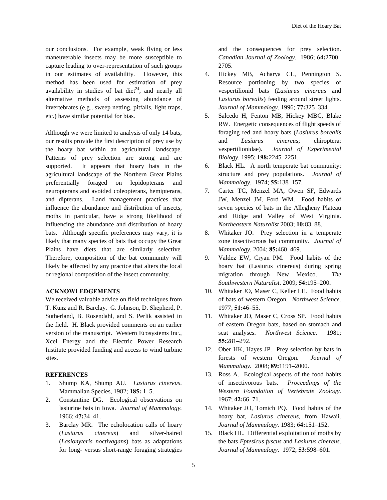our conclusions. For example, weak flying or less maneuverable insects may be more susceptible to capture leading to over-representation of such groups in our estimates of availability. However, this method has been used for estimation of prey availability in studies of bat diet<sup>24</sup>, and nearly all alternative methods of assessing abundance of invertebrates (e.g., sweep netting, pitfalls, light traps, etc.) have similar potential for bias.

Although we were limited to analysis of only 14 bats, our results provide the first description of prey use by the hoary bat within an agricultural landscape. Patterns of prey selection are strong and are supported. It appears that hoary bats in the agricultural landscape of the Northern Great Plains preferentially foraged on lepidopterans and neuropterans and avoided coleopterans, hemipterans, and dipterans. Land management practices that influence the abundance and distribution of insects, moths in particular, have a strong likelihood of influencing the abundance and distribution of hoary bats. Although specific preferences may vary, it is likely that many species of bats that occupy the Great Plains have diets that are similarly selective. Therefore, composition of the bat community will likely be affected by any practice that alters the local or regional composition of the insect community.

#### **ACKNOWLEDGEMENTS**

We received valuable advice on field techniques from T. Kunz and R. Barclay. G. Johnson, D. Shepherd, P. Sutherland, B. Rosendahl, and S. Perlik assisted in the field. H. Black provided comments on an earlier version of the manuscript. Western Ecosystems Inc., Xcel Energy and the Electric Power Research Institute provided funding and access to wind turbine sites.

#### **REFERENCES**

- 1. Shump KA, Shump AU. *Lasiurus cinereus*. Mammalian Species, 1982; **185:** 1–5.
- 2. Constantine DG. Ecological observations on lasiurine bats in Iowa. *Journal of Mammalogy.*  1966; **47:**34–41.
- 3. Barclay MR. The echolocation calls of hoary (*Lasiurus cinereus*) and silver-haired (*Lasionyteris noctivagans*) bats as adaptations for long- versus short-range foraging strategies

and the consequences for prey selection. *Canadian Journal of Zoology*. 1986; **64:**2700– 2705.

- 4. Hickey MB, Acharya CL, Pennington S. Resource portioning by two species of vespertilionid bats (*Lasiurus cinereus* and *Lasiurus borealis*) feeding around street lights. *Journal of Mammalogy*. 1996; **77:**325–334.
- 5. Salcedo H, Fenton MB, Hickey MBC, Blake RW. Energetic consequences of flight speeds of foraging red and hoary bats (*Lasiurus borealis* and *Lasiurus cinereus*; chiroptera: vespertilionidae). *Journal of Experimental Biology*. 1995; **198:**2245–2251.
- 6. Black HL. A north temperate bat community: structure and prey populations. *Journal of Mammalogy*. 1974; **55:**138–157.
- 7. Carter TC, Menzel MA, Owen SF, Edwards JW, Menzel JM, Ford WM. Food habits of seven species of bats in the Allegheny Plateau and Ridge and Valley of West Virginia. *Northeastern Naturalist* 2003; **10:**83–88.
- 8. Whitaker JO. Prey selection in a temperate zone insectivorous bat community. *Journal of Mammalogy.* 2004; **85:**460–469.
- 9. Valdez EW, Cryan PM. Food habits of the hoary bat (Lasiurus cinereus) during spring migration through New Mexico. *The Southwestern Naturalist*. 2009; **54:**195–200.
- 10. Whitaker JO, Maser C, Keller LE. Food habits of bats of western Oregon. *Northwest Science.* 1977; **51:**46–55.
- 11. Whitaker JO, Maser C, Cross SP. Food habits of eastern Oregon bats, based on stomach and scat analyses. *Northwest Science*. 1981; **55:**281–292.
- 12. Ober HK, Hayes JP. Prey selection by bats in forests of western Oregon. *Journal of Mammalogy.* 2008; **89:**1191–2000.
- 13. Ross A. Ecological aspects of the food habits of insectivorous bats. *Proceedings of the Western Foundation of Vertebrate Zoology.* 1967; **42:**66–71.
- 14. Whitaker JO, Tomich PQ. Food habits of the hoary bat, *Lasiurus cinereus*, from Hawaii. *Journal of Mammalogy.* 1983; **64:**151–152.
- 15. Black HL. Differential exploitation of moths by the bats *Eptesicus fuscus* and *Lasiurus cinereus*. *Journal of Mammalogy*. 1972; **53:**598–601.